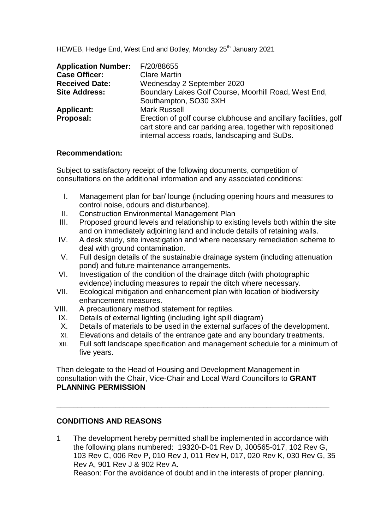HEWEB, Hedge End, West End and Botley, Monday 25<sup>th</sup> January 2021

| <b>Application Number:</b> | F/20/88655                                                                                                                                                                      |
|----------------------------|---------------------------------------------------------------------------------------------------------------------------------------------------------------------------------|
| <b>Case Officer:</b>       | <b>Clare Martin</b>                                                                                                                                                             |
| <b>Received Date:</b>      | Wednesday 2 September 2020                                                                                                                                                      |
| <b>Site Address:</b>       | Boundary Lakes Golf Course, Moorhill Road, West End,                                                                                                                            |
|                            | Southampton, SO30 3XH                                                                                                                                                           |
| <b>Applicant:</b>          | <b>Mark Russell</b>                                                                                                                                                             |
| Proposal:                  | Erection of golf course clubhouse and ancillary facilities, golf<br>cart store and car parking area, together with repositioned<br>internal access roads, landscaping and SuDs. |

#### **Recommendation:**

Subject to satisfactory receipt of the following documents, competition of consultations on the additional information and any associated conditions:

- I. Management plan for bar/ lounge (including opening hours and measures to control noise, odours and disturbance).
- II. Construction Environmental Management Plan
- III. Proposed ground levels and relationship to existing levels both within the site and on immediately adjoining land and include details of retaining walls.
- IV. A desk study, site investigation and where necessary remediation scheme to deal with ground contamination.
- V. Full design details of the sustainable drainage system (including attenuation pond) and future maintenance arrangements.
- VI. Investigation of the condition of the drainage ditch (with photographic evidence) including measures to repair the ditch where necessary.
- VII. Ecological mitigation and enhancement plan with location of biodiversity enhancement measures.
- VIII. A precautionary method statement for reptiles.
	- IX. Details of external lighting (including light spill diagram)
	- X. Details of materials to be used in the external surfaces of the development.
	- XI. Elevations and details of the entrance gate and any boundary treatments.
	- XII. Full soft landscape specification and management schedule for a minimum of five years.

Then delegate to the Head of Housing and Development Management in consultation with the Chair, Vice-Chair and Local Ward Councillors to **GRANT PLANNING PERMISSION**

**\_\_\_\_\_\_\_\_\_\_\_\_\_\_\_\_\_\_\_\_\_\_\_\_\_\_\_\_\_\_\_\_\_\_\_\_\_\_\_\_\_\_\_\_\_\_\_\_\_\_\_\_\_\_\_\_\_\_\_\_\_\_\_\_\_**

#### **CONDITIONS AND REASONS**

1 The development hereby permitted shall be implemented in accordance with the following plans numbered: 19320-D-01 Rev D, J00565-017, 102 Rev G, 103 Rev C, 006 Rev P, 010 Rev J, 011 Rev H, 017, 020 Rev K, 030 Rev G, 35 Rev A, 901 Rev J & 902 Rev A. Reason: For the avoidance of doubt and in the interests of proper planning.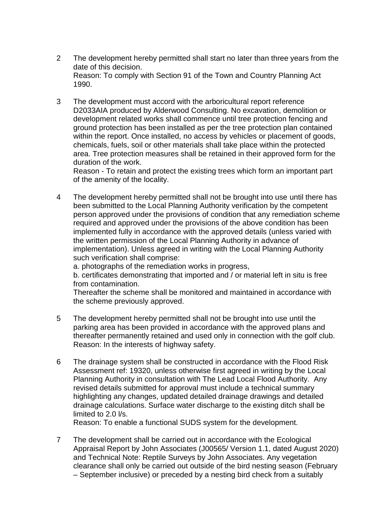- 2 The development hereby permitted shall start no later than three years from the date of this decision. Reason: To comply with Section 91 of the Town and Country Planning Act 1990.
- 3 The development must accord with the arboricultural report reference D2033AIA produced by Alderwood Consulting. No excavation, demolition or development related works shall commence until tree protection fencing and ground protection has been installed as per the tree protection plan contained within the report. Once installed, no access by vehicles or placement of goods, chemicals, fuels, soil or other materials shall take place within the protected area. Tree protection measures shall be retained in their approved form for the duration of the work.

Reason - To retain and protect the existing trees which form an important part of the amenity of the locality.

4 The development hereby permitted shall not be brought into use until there has been submitted to the Local Planning Authority verification by the competent person approved under the provisions of condition that any remediation scheme required and approved under the provisions of the above condition has been implemented fully in accordance with the approved details (unless varied with the written permission of the Local Planning Authority in advance of implementation). Unless agreed in writing with the Local Planning Authority such verification shall comprise:

a. photographs of the remediation works in progress,

b. certificates demonstrating that imported and / or material left in situ is free from contamination.

Thereafter the scheme shall be monitored and maintained in accordance with the scheme previously approved.

- 5 The development hereby permitted shall not be brought into use until the parking area has been provided in accordance with the approved plans and thereafter permanently retained and used only in connection with the golf club. Reason: In the interests of highway safety.
- 6 The drainage system shall be constructed in accordance with the Flood Risk Assessment ref: 19320, unless otherwise first agreed in writing by the Local Planning Authority in consultation with The Lead Local Flood Authority. Any revised details submitted for approval must include a technical summary highlighting any changes, updated detailed drainage drawings and detailed drainage calculations. Surface water discharge to the existing ditch shall be limited to 2.0 l/s.

Reason: To enable a functional SUDS system for the development.

7 The development shall be carried out in accordance with the Ecological Appraisal Report by John Associates (J00565/ Version 1.1, dated August 2020) and Technical Note: Reptile Surveys by John Associates. Any vegetation clearance shall only be carried out outside of the bird nesting season (February – September inclusive) or preceded by a nesting bird check from a suitably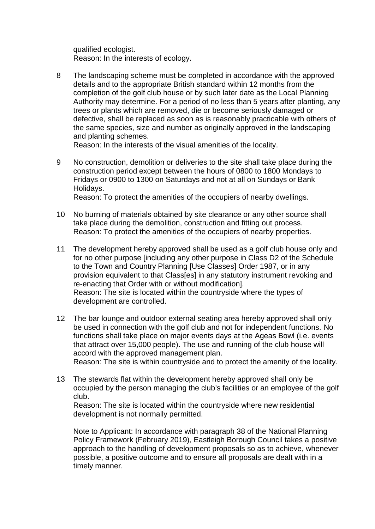qualified ecologist. Reason: In the interests of ecology.

8 The landscaping scheme must be completed in accordance with the approved details and to the appropriate British standard within 12 months from the completion of the golf club house or by such later date as the Local Planning Authority may determine. For a period of no less than 5 years after planting, any trees or plants which are removed, die or become seriously damaged or defective, shall be replaced as soon as is reasonably practicable with others of the same species, size and number as originally approved in the landscaping and planting schemes.

Reason: In the interests of the visual amenities of the locality.

9 No construction, demolition or deliveries to the site shall take place during the construction period except between the hours of 0800 to 1800 Mondays to Fridays or 0900 to 1300 on Saturdays and not at all on Sundays or Bank Holidays.

Reason: To protect the amenities of the occupiers of nearby dwellings.

- 10 No burning of materials obtained by site clearance or any other source shall take place during the demolition, construction and fitting out process. Reason: To protect the amenities of the occupiers of nearby properties.
- 11 The development hereby approved shall be used as a golf club house only and for no other purpose [including any other purpose in Class D2 of the Schedule to the Town and Country Planning [Use Classes] Order 1987, or in any provision equivalent to that Class[es] in any statutory instrument revoking and re-enacting that Order with or without modification]. Reason: The site is located within the countryside where the types of development are controlled.
- 12 The bar lounge and outdoor external seating area hereby approved shall only be used in connection with the golf club and not for independent functions. No functions shall take place on major events days at the Ageas Bowl (i.e. events that attract over 15,000 people). The use and running of the club house will accord with the approved management plan. Reason: The site is within countryside and to protect the amenity of the locality.
	-
- 13 The stewards flat within the development hereby approved shall only be occupied by the person managing the club's facilities or an employee of the golf club.

Reason: The site is located within the countryside where new residential development is not normally permitted.

Note to Applicant: In accordance with paragraph 38 of the National Planning Policy Framework (February 2019), Eastleigh Borough Council takes a positive approach to the handling of development proposals so as to achieve, whenever possible, a positive outcome and to ensure all proposals are dealt with in a timely manner.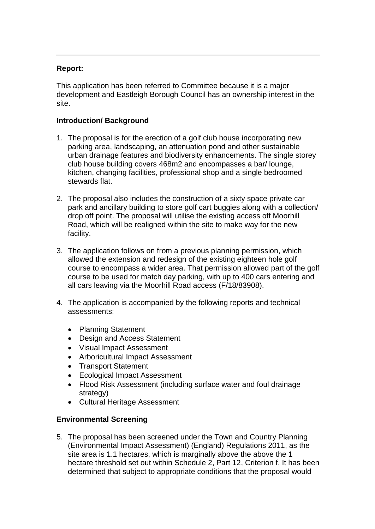### **Report:**

This application has been referred to Committee because it is a major development and Eastleigh Borough Council has an ownership interest in the site.

# **Introduction/ Background**

- 1. The proposal is for the erection of a golf club house incorporating new parking area, landscaping, an attenuation pond and other sustainable urban drainage features and biodiversity enhancements. The single storey club house building covers 468m2 and encompasses a bar/ lounge, kitchen, changing facilities, professional shop and a single bedroomed stewards flat.
- 2. The proposal also includes the construction of a sixty space private car park and ancillary building to store golf cart buggies along with a collection/ drop off point. The proposal will utilise the existing access off Moorhill Road, which will be realigned within the site to make way for the new facility.
- 3. The application follows on from a previous planning permission, which allowed the extension and redesign of the existing eighteen hole golf course to encompass a wider area. That permission allowed part of the golf course to be used for match day parking, with up to 400 cars entering and all cars leaving via the Moorhill Road access (F/18/83908).
- 4. The application is accompanied by the following reports and technical assessments:
	- Planning Statement
	- Design and Access Statement
	- Visual Impact Assessment
	- Arboricultural Impact Assessment
	- Transport Statement
	- Ecological Impact Assessment
	- Flood Risk Assessment (including surface water and foul drainage strategy)
	- Cultural Heritage Assessment

# **Environmental Screening**

5. The proposal has been screened under the Town and Country Planning (Environmental Impact Assessment) (England) Regulations 2011, as the site area is 1.1 hectares, which is marginally above the above the 1 hectare threshold set out within Schedule 2, Part 12, Criterion f. It has been determined that subject to appropriate conditions that the proposal would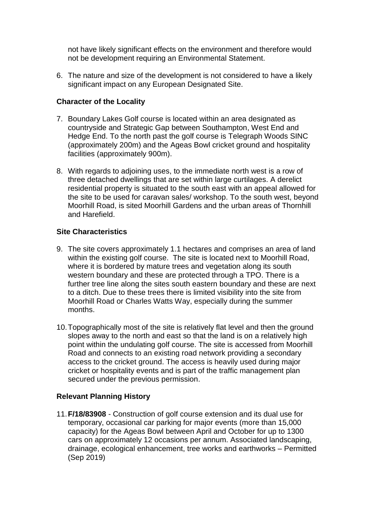not have likely significant effects on the environment and therefore would not be development requiring an Environmental Statement.

6. The nature and size of the development is not considered to have a likely significant impact on any European Designated Site.

### **Character of the Locality**

- 7. Boundary Lakes Golf course is located within an area designated as countryside and Strategic Gap between Southampton, West End and Hedge End. To the north past the golf course is Telegraph Woods SINC (approximately 200m) and the Ageas Bowl cricket ground and hospitality facilities (approximately 900m).
- 8. With regards to adjoining uses, to the immediate north west is a row of three detached dwellings that are set within large curtilages. A derelict residential property is situated to the south east with an appeal allowed for the site to be used for caravan sales/ workshop. To the south west, beyond Moorhill Road, is sited Moorhill Gardens and the urban areas of Thornhill and Harefield.

#### **Site Characteristics**

- 9. The site covers approximately 1.1 hectares and comprises an area of land within the existing golf course. The site is located next to Moorhill Road, where it is bordered by mature trees and vegetation along its south western boundary and these are protected through a TPO. There is a further tree line along the sites south eastern boundary and these are next to a ditch. Due to these trees there is limited visibility into the site from Moorhill Road or Charles Watts Way, especially during the summer months.
- 10.Topographically most of the site is relatively flat level and then the ground slopes away to the north and east so that the land is on a relatively high point within the undulating golf course. The site is accessed from Moorhill Road and connects to an existing road network providing a secondary access to the cricket ground. The access is heavily used during major cricket or hospitality events and is part of the traffic management plan secured under the previous permission.

# **Relevant Planning History**

11.**F/18/83908** - Construction of golf course extension and its dual use for temporary, occasional car parking for major events (more than 15,000 capacity) for the Ageas Bowl between April and October for up to 1300 cars on approximately 12 occasions per annum. Associated landscaping, drainage, ecological enhancement, tree works and earthworks – Permitted (Sep 2019)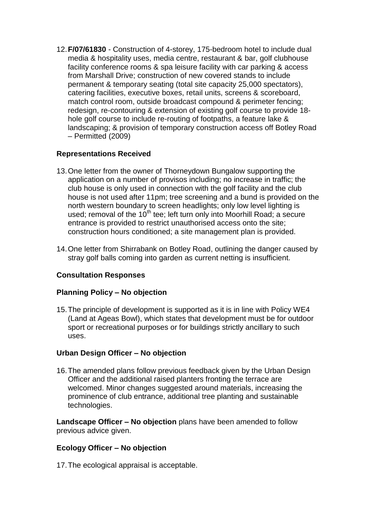12.**F/07/61830** - Construction of 4-storey, 175-bedroom hotel to include dual media & hospitality uses, media centre, restaurant & bar, golf clubhouse facility conference rooms & spa leisure facility with car parking & access from Marshall Drive; construction of new covered stands to include permanent & temporary seating (total site capacity 25,000 spectators), catering facilities, executive boxes, retail units, screens & scoreboard, match control room, outside broadcast compound & perimeter fencing; redesign, re-contouring & extension of existing golf course to provide 18 hole golf course to include re-routing of footpaths, a feature lake & landscaping; & provision of temporary construction access off Botley Road – Permitted (2009)

### **Representations Received**

- 13.One letter from the owner of Thorneydown Bungalow supporting the application on a number of provisos including; no increase in traffic; the club house is only used in connection with the golf facility and the club house is not used after 11pm; tree screening and a bund is provided on the north western boundary to screen headlights; only low level lighting is used; removal of the  $10^{th}$  tee; left turn only into Moorhill Road; a secure entrance is provided to restrict unauthorised access onto the site; construction hours conditioned; a site management plan is provided.
- 14.One letter from Shirrabank on Botley Road, outlining the danger caused by stray golf balls coming into garden as current netting is insufficient.

# **Consultation Responses**

#### **Planning Policy – No objection**

15.The principle of development is supported as it is in line with Policy WE4 (Land at Ageas Bowl), which states that development must be for outdoor sport or recreational purposes or for buildings strictly ancillary to such uses.

#### **Urban Design Officer – No objection**

16.The amended plans follow previous feedback given by the Urban Design Officer and the additional raised planters fronting the terrace are welcomed. Minor changes suggested around materials, increasing the prominence of club entrance, additional tree planting and sustainable technologies.

**Landscape Officer – No objection** plans have been amended to follow previous advice given.

#### **Ecology Officer – No objection**

17.The ecological appraisal is acceptable.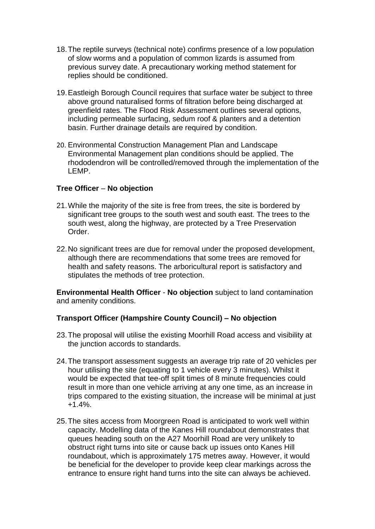- 18.The reptile surveys (technical note) confirms presence of a low population of slow worms and a population of common lizards is assumed from previous survey date. A precautionary working method statement for replies should be conditioned.
- 19.Eastleigh Borough Council requires that surface water be subject to three above ground naturalised forms of filtration before being discharged at greenfield rates. The Flood Risk Assessment outlines several options, including permeable surfacing, sedum roof & planters and a detention basin. Further drainage details are required by condition.
- 20. Environmental Construction Management Plan and Landscape Environmental Management plan conditions should be applied. The rhododendron will be controlled/removed through the implementation of the LEMP.

### **Tree Officer** – **No objection**

- 21.While the majority of the site is free from trees, the site is bordered by significant tree groups to the south west and south east. The trees to the south west, along the highway, are protected by a Tree Preservation Order.
- 22.No significant trees are due for removal under the proposed development, although there are recommendations that some trees are removed for health and safety reasons. The arboricultural report is satisfactory and stipulates the methods of tree protection.

**Environmental Health Officer** - **No objection** subject to land contamination and amenity conditions.

# **Transport Officer (Hampshire County Council) – No objection**

- 23.The proposal will utilise the existing Moorhill Road access and visibility at the junction accords to standards.
- 24.The transport assessment suggests an average trip rate of 20 vehicles per hour utilising the site (equating to 1 vehicle every 3 minutes). Whilst it would be expected that tee-off split times of 8 minute frequencies could result in more than one vehicle arriving at any one time, as an increase in trips compared to the existing situation, the increase will be minimal at just +1.4%.
- 25.The sites access from Moorgreen Road is anticipated to work well within capacity. Modelling data of the Kanes Hill roundabout demonstrates that queues heading south on the A27 Moorhill Road are very unlikely to obstruct right turns into site or cause back up issues onto Kanes Hill roundabout, which is approximately 175 metres away. However, it would be beneficial for the developer to provide keep clear markings across the entrance to ensure right hand turns into the site can always be achieved.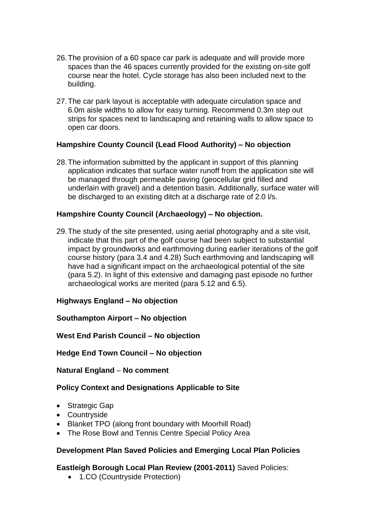- 26.The provision of a 60 space car park is adequate and will provide more spaces than the 46 spaces currently provided for the existing on-site golf course near the hotel. Cycle storage has also been included next to the building.
- 27.The car park layout is acceptable with adequate circulation space and 6.0m aisle widths to allow for easy turning. Recommend 0.3m step out strips for spaces next to landscaping and retaining walls to allow space to open car doors.

### **Hampshire County Council (Lead Flood Authority) – No objection**

28.The information submitted by the applicant in support of this planning application indicates that surface water runoff from the application site will be managed through permeable paving (geocellular grid filled and underlain with gravel) and a detention basin. Additionally, surface water will be discharged to an existing ditch at a discharge rate of 2.0 l/s.

### **Hampshire County Council (Archaeology) – No objection.**

29.The study of the site presented, using aerial photography and a site visit, indicate that this part of the golf course had been subject to substantial impact by groundworks and earthmoving during earlier iterations of the golf course history (para 3.4 and 4.28) Such earthmoving and landscaping will have had a significant impact on the archaeological potential of the site (para 5.2). In light of this extensive and damaging past episode no further archaeological works are merited (para 5.12 and 6.5).

# **Highways England – No objection**

#### **Southampton Airport – No objection**

#### **West End Parish Council – No objection**

#### **Hedge End Town Council – No objection**

#### **Natural England** – **No comment**

# **Policy Context and Designations Applicable to Site**

- Strategic Gap
- Countryside
- Blanket TPO (along front boundary with Moorhill Road)
- The Rose Bowl and Tennis Centre Special Policy Area

#### **Development Plan Saved Policies and Emerging Local Plan Policies**

# **Eastleigh Borough Local Plan Review (2001-2011)** Saved Policies:

• 1.CO (Countryside Protection)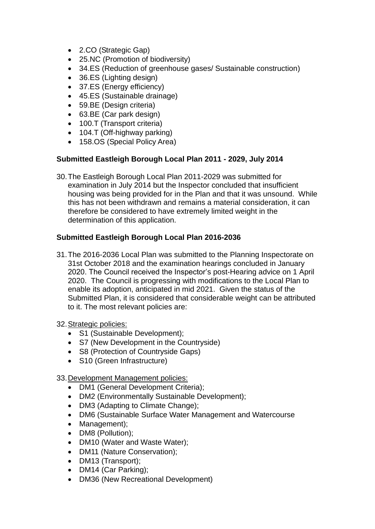- 2.CO (Strategic Gap)
- 25.NC (Promotion of biodiversity)
- 34.ES (Reduction of greenhouse gases/ Sustainable construction)
- 36.ES (Lighting design)
- 37.ES (Energy efficiency)
- 45.ES (Sustainable drainage)
- 59.BE (Design criteria)
- 63.BE (Car park design)
- 100.T (Transport criteria)
- 104.T (Off-highway parking)
- 158.OS (Special Policy Area)

### **Submitted Eastleigh Borough Local Plan 2011 - 2029, July 2014**

30.The Eastleigh Borough Local Plan 2011-2029 was submitted for examination in July 2014 but the Inspector concluded that insufficient housing was being provided for in the Plan and that it was unsound. While this has not been withdrawn and remains a material consideration, it can therefore be considered to have extremely limited weight in the determination of this application.

### **Submitted Eastleigh Borough Local Plan 2016-2036**

- 31.The 2016-2036 Local Plan was submitted to the Planning Inspectorate on 31st October 2018 and the examination hearings concluded in January 2020. The Council received the Inspector's post-Hearing advice on 1 April 2020. The Council is progressing with modifications to the Local Plan to enable its adoption, anticipated in mid 2021. Given the status of the Submitted Plan, it is considered that considerable weight can be attributed to it. The most relevant policies are:
- 32.Strategic policies:
	- S1 (Sustainable Development);
	- S7 (New Development in the Countryside)
	- S8 (Protection of Countryside Gaps)
	- S10 (Green Infrastructure)
- 33.Development Management policies:
	- DM1 (General Development Criteria);
	- DM2 (Environmentally Sustainable Development);
	- DM3 (Adapting to Climate Change);
	- DM6 (Sustainable Surface Water Management and Watercourse
	- Management);
	- DM8 (Pollution);
	- DM10 (Water and Waste Water);
	- DM11 (Nature Conservation);
	- DM13 (Transport);
	- DM14 (Car Parking);
	- DM36 (New Recreational Development)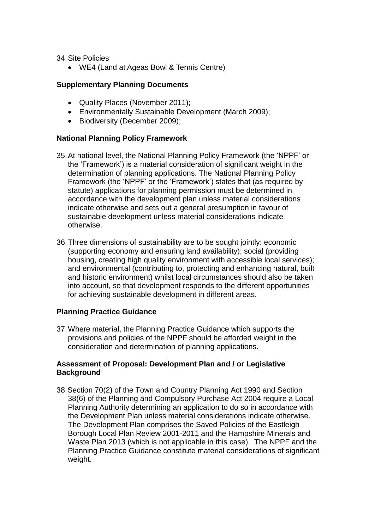34.Site Policies

WE4 (Land at Ageas Bowl & Tennis Centre)

#### **Supplementary Planning Documents**

- Quality Places (November 2011);
- Environmentally Sustainable Development (March 2009);
- Biodiversity (December 2009);

#### **National Planning Policy Framework**

- 35.At national level, the National Planning Policy Framework (the 'NPPF' or the 'Framework') is a material consideration of significant weight in the determination of planning applications. The National Planning Policy Framework (the 'NPPF' or the 'Framework') states that (as required by statute) applications for planning permission must be determined in accordance with the development plan unless material considerations indicate otherwise and sets out a general presumption in favour of sustainable development unless material considerations indicate otherwise.
- 36.Three dimensions of sustainability are to be sought jointly: economic (supporting economy and ensuring land availability); social (providing housing, creating high quality environment with accessible local services); and environmental (contributing to, protecting and enhancing natural, built and historic environment) whilst local circumstances should also be taken into account, so that development responds to the different opportunities for achieving sustainable development in different areas.

#### **Planning Practice Guidance**

37.Where material, the Planning Practice Guidance which supports the provisions and policies of the NPPF should be afforded weight in the consideration and determination of planning applications.

#### **Assessment of Proposal: Development Plan and / or Legislative Background**

38.Section 70(2) of the Town and Country Planning Act 1990 and Section 38(6) of the Planning and Compulsory Purchase Act 2004 require a Local Planning Authority determining an application to do so in accordance with the Development Plan unless material considerations indicate otherwise. The Development Plan comprises the Saved Policies of the Eastleigh Borough Local Plan Review 2001-2011 and the Hampshire Minerals and Waste Plan 2013 (which is not applicable in this case). The NPPF and the Planning Practice Guidance constitute material considerations of significant weight.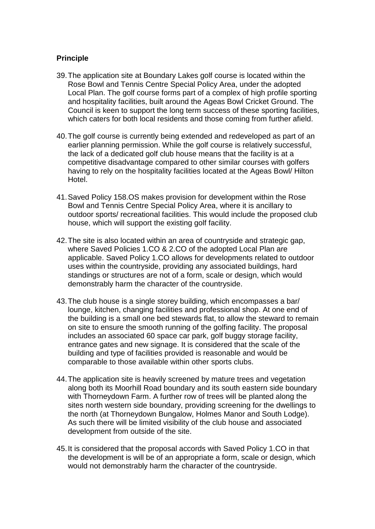### **Principle**

- 39.The application site at Boundary Lakes golf course is located within the Rose Bowl and Tennis Centre Special Policy Area, under the adopted Local Plan. The golf course forms part of a complex of high profile sporting and hospitality facilities, built around the Ageas Bowl Cricket Ground. The Council is keen to support the long term success of these sporting facilities, which caters for both local residents and those coming from further afield.
- 40.The golf course is currently being extended and redeveloped as part of an earlier planning permission. While the golf course is relatively successful, the lack of a dedicated golf club house means that the facility is at a competitive disadvantage compared to other similar courses with golfers having to rely on the hospitality facilities located at the Ageas Bowl/ Hilton Hotel.
- 41.Saved Policy 158.OS makes provision for development within the Rose Bowl and Tennis Centre Special Policy Area, where it is ancillary to outdoor sports/ recreational facilities. This would include the proposed club house, which will support the existing golf facility.
- 42.The site is also located within an area of countryside and strategic gap, where Saved Policies 1.CO & 2.CO of the adopted Local Plan are applicable. Saved Policy 1.CO allows for developments related to outdoor uses within the countryside, providing any associated buildings, hard standings or structures are not of a form, scale or design, which would demonstrably harm the character of the countryside.
- 43.The club house is a single storey building, which encompasses a bar/ lounge, kitchen, changing facilities and professional shop. At one end of the building is a small one bed stewards flat, to allow the steward to remain on site to ensure the smooth running of the golfing facility. The proposal includes an associated 60 space car park, golf buggy storage facility, entrance gates and new signage. It is considered that the scale of the building and type of facilities provided is reasonable and would be comparable to those available within other sports clubs.
- 44.The application site is heavily screened by mature trees and vegetation along both its Moorhill Road boundary and its south eastern side boundary with Thorneydown Farm. A further row of trees will be planted along the sites north western side boundary, providing screening for the dwellings to the north (at Thorneydown Bungalow, Holmes Manor and South Lodge). As such there will be limited visibility of the club house and associated development from outside of the site.
- 45.It is considered that the proposal accords with Saved Policy 1.CO in that the development is will be of an appropriate a form, scale or design, which would not demonstrably harm the character of the countryside.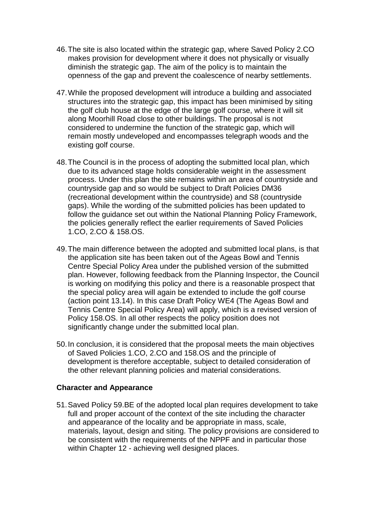- 46.The site is also located within the strategic gap, where Saved Policy 2.CO makes provision for development where it does not physically or visually diminish the strategic gap. The aim of the policy is to maintain the openness of the gap and prevent the coalescence of nearby settlements.
- 47.While the proposed development will introduce a building and associated structures into the strategic gap, this impact has been minimised by siting the golf club house at the edge of the large golf course, where it will sit along Moorhill Road close to other buildings. The proposal is not considered to undermine the function of the strategic gap, which will remain mostly undeveloped and encompasses telegraph woods and the existing golf course.
- 48.The Council is in the process of adopting the submitted local plan, which due to its advanced stage holds considerable weight in the assessment process. Under this plan the site remains within an area of countryside and countryside gap and so would be subject to Draft Policies DM36 (recreational development within the countryside) and S8 (countryside gaps). While the wording of the submitted policies has been updated to follow the guidance set out within the National Planning Policy Framework, the policies generally reflect the earlier requirements of Saved Policies 1.CO, 2.CO & 158.OS.
- 49.The main difference between the adopted and submitted local plans, is that the application site has been taken out of the Ageas Bowl and Tennis Centre Special Policy Area under the published version of the submitted plan. However, following feedback from the Planning Inspector, the Council is working on modifying this policy and there is a reasonable prospect that the special policy area will again be extended to include the golf course (action point 13.14). In this case Draft Policy WE4 (The Ageas Bowl and Tennis Centre Special Policy Area) will apply, which is a revised version of Policy 158.OS. In all other respects the policy position does not significantly change under the submitted local plan.
- 50.In conclusion, it is considered that the proposal meets the main objectives of Saved Policies 1.CO, 2.CO and 158.OS and the principle of development is therefore acceptable, subject to detailed consideration of the other relevant planning policies and material considerations.

#### **Character and Appearance**

51.Saved Policy 59.BE of the adopted local plan requires development to take full and proper account of the context of the site including the character and appearance of the locality and be appropriate in mass, scale, materials, layout, design and siting. The policy provisions are considered to be consistent with the requirements of the NPPF and in particular those within Chapter 12 - achieving well designed places.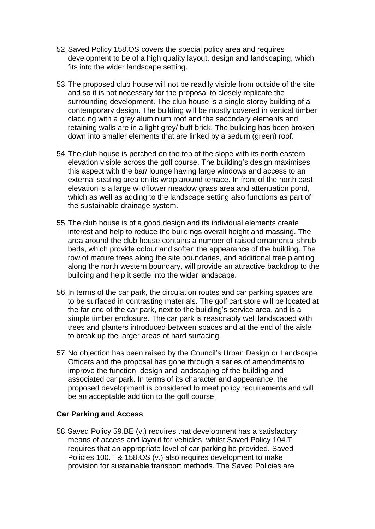- 52.Saved Policy 158.OS covers the special policy area and requires development to be of a high quality layout, design and landscaping, which fits into the wider landscape setting.
- 53.The proposed club house will not be readily visible from outside of the site and so it is not necessary for the proposal to closely replicate the surrounding development. The club house is a single storey building of a contemporary design. The building will be mostly covered in vertical timber cladding with a grey aluminium roof and the secondary elements and retaining walls are in a light grey/ buff brick. The building has been broken down into smaller elements that are linked by a sedum (green) roof.
- 54.The club house is perched on the top of the slope with its north eastern elevation visible across the golf course. The building's design maximises this aspect with the bar/ lounge having large windows and access to an external seating area on its wrap around terrace. In front of the north east elevation is a large wildflower meadow grass area and attenuation pond, which as well as adding to the landscape setting also functions as part of the sustainable drainage system.
- 55.The club house is of a good design and its individual elements create interest and help to reduce the buildings overall height and massing. The area around the club house contains a number of raised ornamental shrub beds, which provide colour and soften the appearance of the building. The row of mature trees along the site boundaries, and additional tree planting along the north western boundary, will provide an attractive backdrop to the building and help it settle into the wider landscape.
- 56.In terms of the car park, the circulation routes and car parking spaces are to be surfaced in contrasting materials. The golf cart store will be located at the far end of the car park, next to the building's service area, and is a simple timber enclosure. The car park is reasonably well landscaped with trees and planters introduced between spaces and at the end of the aisle to break up the larger areas of hard surfacing.
- 57.No objection has been raised by the Council's Urban Design or Landscape Officers and the proposal has gone through a series of amendments to improve the function, design and landscaping of the building and associated car park. In terms of its character and appearance, the proposed development is considered to meet policy requirements and will be an acceptable addition to the golf course.

#### **Car Parking and Access**

58.Saved Policy 59.BE (v.) requires that development has a satisfactory means of access and layout for vehicles, whilst Saved Policy 104.T requires that an appropriate level of car parking be provided. Saved Policies 100.T & 158.OS (v.) also requires development to make provision for sustainable transport methods. The Saved Policies are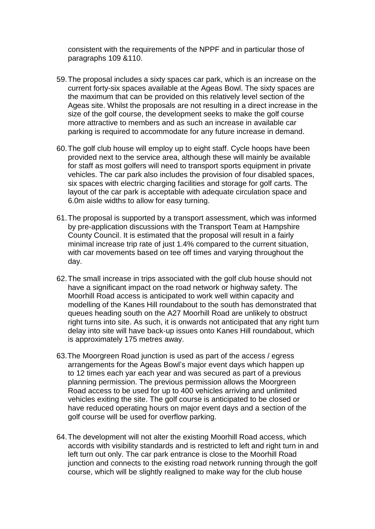consistent with the requirements of the NPPF and in particular those of paragraphs 109 &110.

- 59.The proposal includes a sixty spaces car park, which is an increase on the current forty-six spaces available at the Ageas Bowl. The sixty spaces are the maximum that can be provided on this relatively level section of the Ageas site. Whilst the proposals are not resulting in a direct increase in the size of the golf course, the development seeks to make the golf course more attractive to members and as such an increase in available car parking is required to accommodate for any future increase in demand.
- 60.The golf club house will employ up to eight staff. Cycle hoops have been provided next to the service area, although these will mainly be available for staff as most golfers will need to transport sports equipment in private vehicles. The car park also includes the provision of four disabled spaces, six spaces with electric charging facilities and storage for golf carts. The layout of the car park is acceptable with adequate circulation space and 6.0m aisle widths to allow for easy turning.
- 61.The proposal is supported by a transport assessment, which was informed by pre-application discussions with the Transport Team at Hampshire County Council. It is estimated that the proposal will result in a fairly minimal increase trip rate of just 1.4% compared to the current situation, with car movements based on tee off times and varying throughout the day.
- 62.The small increase in trips associated with the golf club house should not have a significant impact on the road network or highway safety. The Moorhill Road access is anticipated to work well within capacity and modelling of the Kanes Hill roundabout to the south has demonstrated that queues heading south on the A27 Moorhill Road are unlikely to obstruct right turns into site. As such, it is onwards not anticipated that any right turn delay into site will have back-up issues onto Kanes Hill roundabout, which is approximately 175 metres away.
- 63.The Moorgreen Road junction is used as part of the access / egress arrangements for the Ageas Bowl's major event days which happen up to 12 times each yar each year and was secured as part of a previous planning permission. The previous permission allows the Moorgreen Road access to be used for up to 400 vehicles arriving and unlimited vehicles exiting the site. The golf course is anticipated to be closed or have reduced operating hours on major event days and a section of the golf course will be used for overflow parking.
- 64.The development will not alter the existing Moorhill Road access, which accords with visibility standards and is restricted to left and right turn in and left turn out only. The car park entrance is close to the Moorhill Road junction and connects to the existing road network running through the golf course, which will be slightly realigned to make way for the club house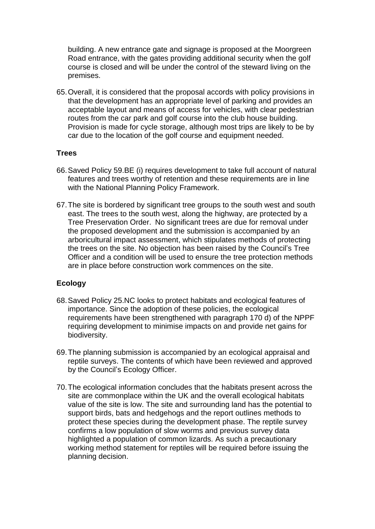building. A new entrance gate and signage is proposed at the Moorgreen Road entrance, with the gates providing additional security when the golf course is closed and will be under the control of the steward living on the premises.

65.Overall, it is considered that the proposal accords with policy provisions in that the development has an appropriate level of parking and provides an acceptable layout and means of access for vehicles, with clear pedestrian routes from the car park and golf course into the club house building. Provision is made for cycle storage, although most trips are likely to be by car due to the location of the golf course and equipment needed.

#### **Trees**

- 66.Saved Policy 59.BE (i) requires development to take full account of natural features and trees worthy of retention and these requirements are in line with the National Planning Policy Framework.
- 67.The site is bordered by significant tree groups to the south west and south east. The trees to the south west, along the highway, are protected by a Tree Preservation Order. No significant trees are due for removal under the proposed development and the submission is accompanied by an arboricultural impact assessment, which stipulates methods of protecting the trees on the site. No objection has been raised by the Council's Tree Officer and a condition will be used to ensure the tree protection methods are in place before construction work commences on the site.

#### **Ecology**

- 68.Saved Policy 25.NC looks to protect habitats and ecological features of importance. Since the adoption of these policies, the ecological requirements have been strengthened with paragraph 170 d) of the NPPF requiring development to minimise impacts on and provide net gains for biodiversity.
- 69.The planning submission is accompanied by an ecological appraisal and reptile surveys. The contents of which have been reviewed and approved by the Council's Ecology Officer.
- 70.The ecological information concludes that the habitats present across the site are commonplace within the UK and the overall ecological habitats value of the site is low. The site and surrounding land has the potential to support birds, bats and hedgehogs and the report outlines methods to protect these species during the development phase. The reptile survey confirms a low population of slow worms and previous survey data highlighted a population of common lizards. As such a precautionary working method statement for reptiles will be required before issuing the planning decision.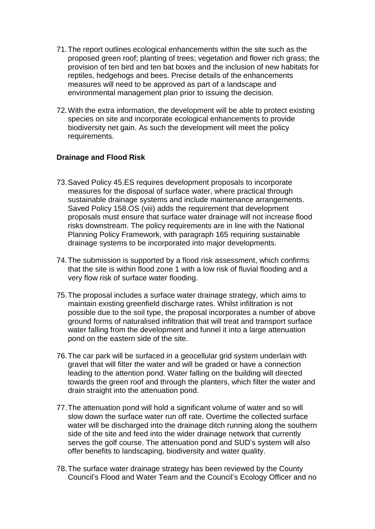- 71.The report outlines ecological enhancements within the site such as the proposed green roof; planting of trees; vegetation and flower rich grass; the provision of ten bird and ten bat boxes and the inclusion of new habitats for reptiles, hedgehogs and bees. Precise details of the enhancements measures will need to be approved as part of a landscape and environmental management plan prior to issuing the decision.
- 72.With the extra information, the development will be able to protect existing species on site and incorporate ecological enhancements to provide biodiversity net gain. As such the development will meet the policy requirements.

### **Drainage and Flood Risk**

- 73.Saved Policy 45.ES requires development proposals to incorporate measures for the disposal of surface water, where practical through sustainable drainage systems and include maintenance arrangements. Saved Policy 158.OS (viii) adds the requirement that development proposals must ensure that surface water drainage will not increase flood risks downstream. The policy requirements are in line with the National Planning Policy Framework, with paragraph 165 requiring sustainable drainage systems to be incorporated into major developments.
- 74.The submission is supported by a flood risk assessment, which confirms that the site is within flood zone 1 with a low risk of fluvial flooding and a very flow risk of surface water flooding.
- 75.The proposal includes a surface water drainage strategy, which aims to maintain existing greenfield discharge rates. Whilst infiltration is not possible due to the soil type, the proposal incorporates a number of above ground forms of naturalised infiltration that will treat and transport surface water falling from the development and funnel it into a large attenuation pond on the eastern side of the site.
- 76.The car park will be surfaced in a geocellular grid system underlain with gravel that will filter the water and will be graded or have a connection leading to the attention pond. Water falling on the building will directed towards the green roof and through the planters, which filter the water and drain straight into the attenuation pond.
- 77.The attenuation pond will hold a significant volume of water and so will slow down the surface water run off rate. Overtime the collected surface water will be discharged into the drainage ditch running along the southern side of the site and feed into the wider drainage network that currently serves the golf course. The attenuation pond and SUD's system will also offer benefits to landscaping, biodiversity and water quality.
- 78.The surface water drainage strategy has been reviewed by the County Council's Flood and Water Team and the Council's Ecology Officer and no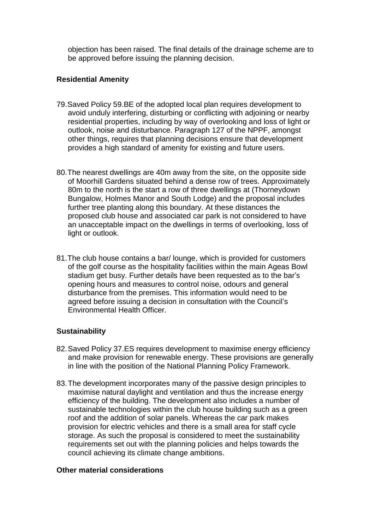objection has been raised. The final details of the drainage scheme are to be approved before issuing the planning decision.

### **Residential Amenity**

- 79.Saved Policy 59.BE of the adopted local plan requires development to avoid unduly interfering, disturbing or conflicting with adjoining or nearby residential properties, including by way of overlooking and loss of light or outlook, noise and disturbance. Paragraph 127 of the NPPF, amongst other things, requires that planning decisions ensure that development provides a high standard of amenity for existing and future users.
- 80.The nearest dwellings are 40m away from the site, on the opposite side of Moorhill Gardens situated behind a dense row of trees. Approximately 80m to the north is the start a row of three dwellings at (Thorneydown Bungalow, Holmes Manor and South Lodge) and the proposal includes further tree planting along this boundary. At these distances the proposed club house and associated car park is not considered to have an unacceptable impact on the dwellings in terms of overlooking, loss of light or outlook.
- 81.The club house contains a bar/ lounge, which is provided for customers of the golf course as the hospitality facilities within the main Ageas Bowl stadium get busy. Further details have been requested as to the bar's opening hours and measures to control noise, odours and general disturbance from the premises. This information would need to be agreed before issuing a decision in consultation with the Council's Environmental Health Officer.

# **Sustainability**

- 82.Saved Policy 37.ES requires development to maximise energy efficiency and make provision for renewable energy. These provisions are generally in line with the position of the National Planning Policy Framework.
- 83.The development incorporates many of the passive design principles to maximise natural daylight and ventilation and thus the increase energy efficiency of the building. The development also includes a number of sustainable technologies within the club house building such as a green roof and the addition of solar panels. Whereas the car park makes provision for electric vehicles and there is a small area for staff cycle storage. As such the proposal is considered to meet the sustainability requirements set out with the planning policies and helps towards the council achieving its climate change ambitions.

#### **Other material considerations**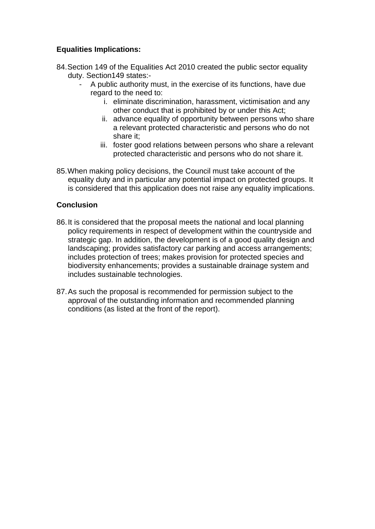# **Equalities Implications:**

- 84.Section 149 of the Equalities Act 2010 created the public sector equality duty. Section149 states:-
	- A public authority must, in the exercise of its functions, have due regard to the need to:
		- i. eliminate discrimination, harassment, victimisation and any other conduct that is prohibited by or under this Act;
		- ii. advance equality of opportunity between persons who share a relevant protected characteristic and persons who do not share it;
		- iii. foster good relations between persons who share a relevant protected characteristic and persons who do not share it.
- 85.When making policy decisions, the Council must take account of the equality duty and in particular any potential impact on protected groups. It is considered that this application does not raise any equality implications.

# **Conclusion**

- 86.It is considered that the proposal meets the national and local planning policy requirements in respect of development within the countryside and strategic gap. In addition, the development is of a good quality design and landscaping; provides satisfactory car parking and access arrangements; includes protection of trees; makes provision for protected species and biodiversity enhancements; provides a sustainable drainage system and includes sustainable technologies.
- 87.As such the proposal is recommended for permission subject to the approval of the outstanding information and recommended planning conditions (as listed at the front of the report).